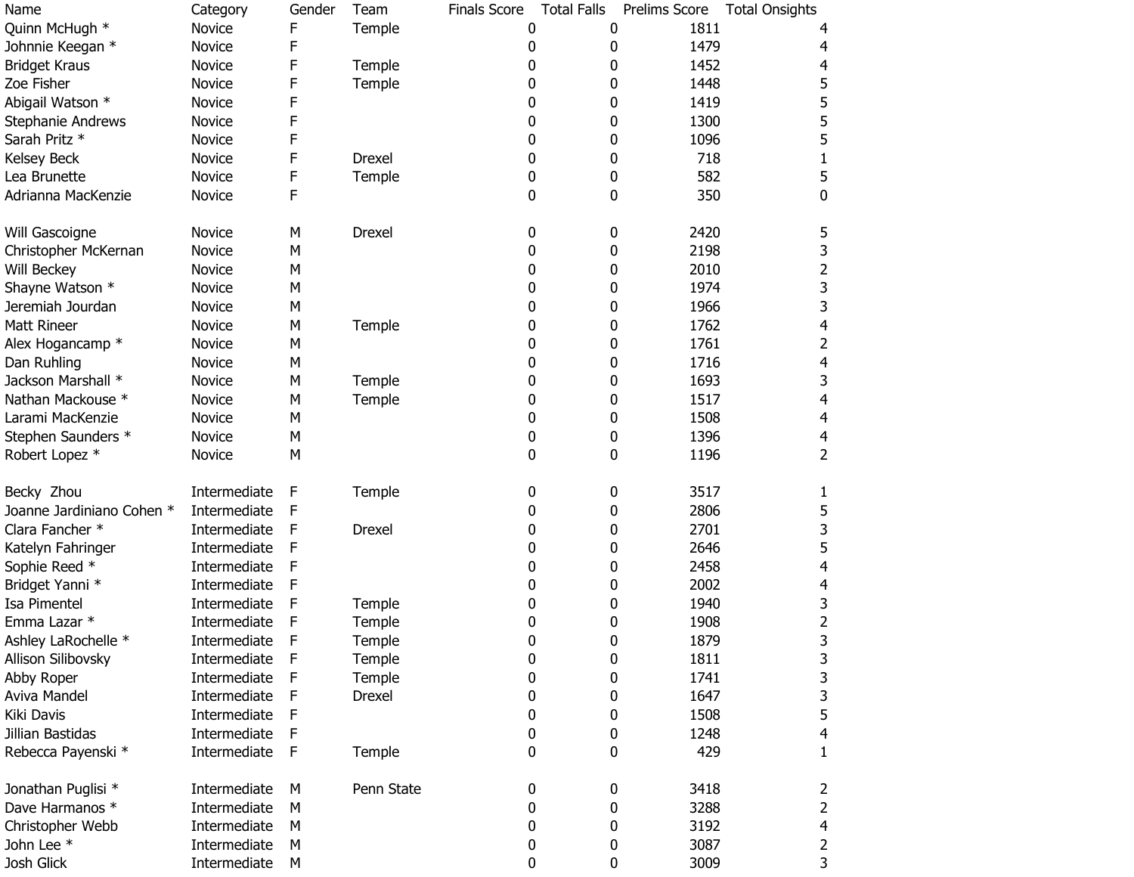| Name                      | Category     | Gender | Team       | <b>Finals Score</b> | <b>Total Falls</b> | Prelims Score | <b>Total Onsights</b>   |
|---------------------------|--------------|--------|------------|---------------------|--------------------|---------------|-------------------------|
| Quinn McHugh *            | Novice       | F      | Temple     | 0                   | 0                  | 1811          |                         |
| Johnnie Keegan *          | Novice       | F      |            | 0                   | 0                  | 1479          | 4                       |
| <b>Bridget Kraus</b>      | Novice       | F      | Temple     | 0                   | 0                  | 1452          | $\overline{4}$          |
| Zoe Fisher                | Novice       | F      | Temple     | 0                   | 0                  | 1448          | 5                       |
| Abigail Watson *          | Novice       | F      |            | 0                   | 0                  | 1419          | 5                       |
| Stephanie Andrews         | Novice       | F      |            | 0                   | 0                  | 1300          | 5                       |
| Sarah Pritz *             | Novice       | F      |            | 0                   | 0                  | 1096          | 5                       |
| Kelsey Beck               | Novice       | F      | Drexel     | 0                   | 0                  | 718           | $\mathbf{1}$            |
| Lea Brunette              | Novice       | F      | Temple     | 0                   | 0                  | 582           | 5                       |
| Adrianna MacKenzie        | Novice       | F      |            | 0                   | 0                  | 350           | $\mathbf 0$             |
| Will Gascoigne            | Novice       | М      | Drexel     | 0                   | 0                  | 2420          | 5                       |
| Christopher McKernan      | Novice       | M      |            | 0                   | 0                  | 2198          | 3                       |
| Will Beckey               | Novice       | M      |            | 0                   | 0                  | 2010          | $\overline{2}$          |
| Shayne Watson *           | Novice       | M      |            | 0                   | 0                  | 1974          | 3                       |
| Jeremiah Jourdan          | Novice       | M      |            | 0                   | 0                  | 1966          | 3                       |
| Matt Rineer               | Novice       | М      | Temple     | 0                   | 0                  | 1762          | $\overline{\mathbf{4}}$ |
| Alex Hogancamp *          | Novice       | М      |            | 0                   | 0                  | 1761          | 2                       |
| Dan Ruhling               | Novice       | M      |            | 0                   | 0                  | 1716          | 4                       |
| Jackson Marshall *        | Novice       | M      | Temple     | 0                   | 0                  | 1693          | 3                       |
| Nathan Mackouse *         | Novice       | M      | Temple     | 0                   | 0                  | 1517          | $\overline{4}$          |
| Larami MacKenzie          | Novice       | M      |            | 0                   | 0                  | 1508          | $\overline{4}$          |
| Stephen Saunders *        | Novice       | M      |            | 0                   | 0                  | 1396          | 4                       |
| Robert Lopez *            | Novice       | M      |            | 0                   | 0                  | 1196          | $\overline{2}$          |
| Becky Zhou                | Intermediate | F      | Temple     | 0                   | 0                  | 3517          | $\mathbf{1}$            |
| Joanne Jardiniano Cohen * | Intermediate | F      |            | 0                   | 0                  | 2806          | 5                       |
| Clara Fancher *           | Intermediate | F      | Drexel     | 0                   | 0                  | 2701          | 3                       |
| Katelyn Fahringer         | Intermediate | F      |            | 0                   | 0                  | 2646          | 5                       |
| Sophie Reed *             | Intermediate | F      |            | 0                   | 0                  | 2458          | 4                       |
| Bridget Yanni *           | Intermediate | F      |            | 0                   | 0                  | 2002          | 4                       |
| Isa Pimentel              | Intermediate | F      | Temple     | 0                   | 0                  | 1940          | 3                       |
| Emma Lazar *              | Intermediate | F      | Temple     | 0                   | 0                  | 1908          | $\mathbf{2}$            |
| Ashley LaRochelle *       | Intermediate | F      | Temple     | 0                   | 0                  | 1879          | 3                       |
| Allison Silibovsky        | Intermediate | F      | Temple     | 0                   | 0                  | 1811          | 3                       |
| Abby Roper                | Intermediate | F      | Temple     | 0                   | 0                  | 1741          | 3                       |
| Aviva Mandel              | Intermediate | F      | Drexel     | 0                   | 0                  | 1647          | 3                       |
| Kiki Davis                | Intermediate | F      |            | 0                   | 0                  | 1508          | 5                       |
| Jillian Bastidas          | Intermediate | F      |            | $\boldsymbol{0}$    | 0                  | 1248          | 4                       |
| Rebecca Payenski *        | Intermediate | F      | Temple     | 0                   | 0                  | 429           | $\mathbf{1}$            |
| Jonathan Puglisi *        | Intermediate | М      | Penn State | 0                   | 0                  | 3418          | 2                       |
| Dave Harmanos *           | Intermediate | М      |            | 0                   | 0                  | 3288          | $\overline{2}$          |
| Christopher Webb          | Intermediate | М      |            | 0                   | 0                  | 3192          | 4                       |
| John Lee *                | Intermediate | M      |            | 0                   | 0                  | 3087          | $\overline{2}$          |
| Josh Glick                | Intermediate | M      |            | 0                   | 0                  | 3009          | 3                       |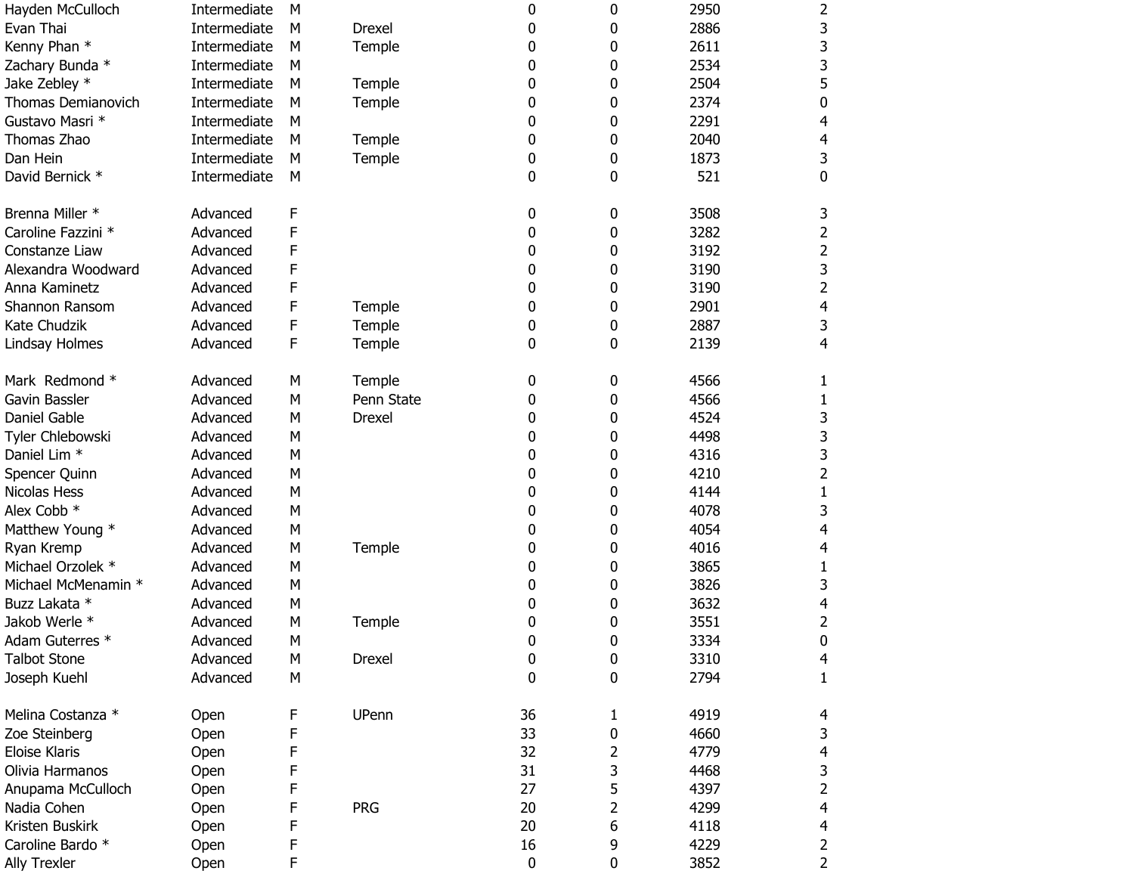| Hayden McCulloch        | Intermediate | М |               | 0  | 0           | 2950 | 2                       |
|-------------------------|--------------|---|---------------|----|-------------|------|-------------------------|
| Evan Thai               | Intermediate | M | <b>Drexel</b> | 0  | 0           | 2886 | 3                       |
| Kenny Phan *            | Intermediate | M | Temple        | 0  | 0           | 2611 | 3                       |
| Zachary Bunda *         | Intermediate | M |               | 0  | 0           | 2534 | 3                       |
| Jake Zebley *           | Intermediate | M | Temple        | 0  | 0           | 2504 | 5                       |
| Thomas Demianovich      | Intermediate | М | Temple        | 0  | 0           | 2374 | $\pmb{0}$               |
| Gustavo Masri *         | Intermediate | М |               | 0  | 0           | 2291 | 4                       |
| Thomas Zhao             | Intermediate | M | Temple        | 0  | 0           | 2040 | 4                       |
| Dan Hein                | Intermediate | M | Temple        | 0  | 0           | 1873 | 3                       |
| David Bernick *         | Intermediate | M |               | 0  | 0           | 521  | $\pmb{0}$               |
| Brenna Miller *         | Advanced     | F |               | 0  | 0           | 3508 | 3                       |
| Caroline Fazzini *      | Advanced     | F |               | 0  | 0           | 3282 | $\overline{2}$          |
| Constanze Liaw          | Advanced     | F |               | 0  | 0           | 3192 | $\mathbf{2}$            |
| Alexandra Woodward      | Advanced     | F |               | 0  | 0           | 3190 | 3                       |
| Anna Kaminetz           | Advanced     | F |               | 0  | 0           | 3190 | $\overline{2}$          |
| Shannon Ransom          | Advanced     | F | Temple        | 0  | 0           | 2901 | $\overline{4}$          |
| Kate Chudzik            | Advanced     | F | Temple        | 0  | 0           | 2887 | 3                       |
| Lindsay Holmes          | Advanced     | F | Temple        | 0  | 0           | 2139 | 4                       |
| Mark Redmond *          | Advanced     | M | Temple        | 0  | 0           | 4566 | $\mathbf{1}$            |
| Gavin Bassler           | Advanced     | M | Penn State    | 0  | 0           | 4566 | $\mathbf{1}$            |
| Daniel Gable            | Advanced     | M | Drexel        | 0  | 0           | 4524 | 3                       |
| Tyler Chlebowski        | Advanced     | M |               | 0  | 0           | 4498 | 3                       |
| Daniel Lim <sup>*</sup> | Advanced     | M |               | 0  | 0           | 4316 | 3                       |
| Spencer Quinn           | Advanced     | M |               | 0  | 0           | 4210 | $\overline{2}$          |
| Nicolas Hess            | Advanced     | M |               | 0  | 0           | 4144 | $\mathbf{1}$            |
| Alex Cobb *             | Advanced     | M |               | 0  | 0           | 4078 | 3                       |
| Matthew Young *         | Advanced     | M |               | 0  | 0           | 4054 | $\overline{4}$          |
| Ryan Kremp              | Advanced     | M | Temple        | 0  | 0           | 4016 | 4                       |
| Michael Orzolek *       | Advanced     | M |               | 0  | 0           | 3865 | $\mathbf{1}$            |
| Michael McMenamin *     | Advanced     | M |               | 0  | 0           | 3826 | 3                       |
| Buzz Lakata *           | Advanced     | M |               | 0  | 0           | 3632 | 4                       |
| Jakob Werle *           | Advanced     | M | Temple        | 0  | 0           | 3551 | $\mathbf{2}$            |
| Adam Guterres *         | Advanced     | M |               | 0  | 0           | 3334 | 0                       |
| <b>Talbot Stone</b>     | Advanced     | M | <b>Drexel</b> | 0  | 0           | 3310 | $\overline{4}$          |
| Joseph Kuehl            | Advanced     | M |               | 0  | 0           | 2794 | $\mathbf{1}$            |
| Melina Costanza *       | Open         | F | UPenn         | 36 | 1           | 4919 | 4                       |
| Zoe Steinberg           | Open         | F |               | 33 | 0           | 4660 | 3                       |
| <b>Eloise Klaris</b>    | Open         | F |               | 32 | 2           | 4779 | $\overline{\mathbf{4}}$ |
| Olivia Harmanos         | Open         | F |               | 31 | 3           | 4468 | 3                       |
| Anupama McCulloch       | Open         | F |               | 27 | 5           | 4397 | $\overline{2}$          |
| Nadia Cohen             | Open         | F | <b>PRG</b>    | 20 | 2           | 4299 | $\overline{\mathbf{4}}$ |
| Kristen Buskirk         | Open         | F |               | 20 | 6           | 4118 | $\overline{\mathbf{4}}$ |
| Caroline Bardo *        | Open         | F |               | 16 | 9           | 4229 | $\overline{2}$          |
| Ally Trexler            | Open         | F |               | 0  | $\mathbf 0$ | 3852 | $\overline{2}$          |